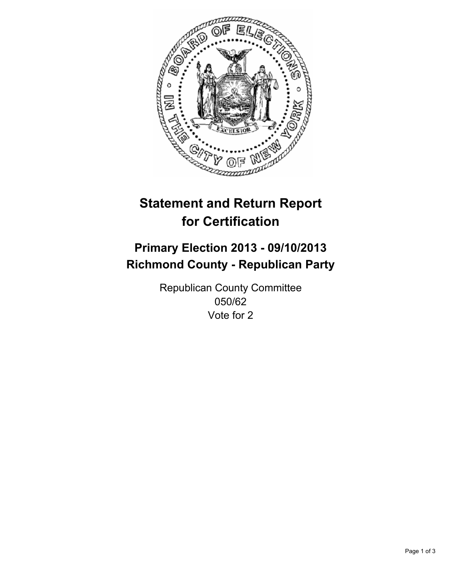

# **Statement and Return Report for Certification**

# **Primary Election 2013 - 09/10/2013 Richmond County - Republican Party**

Republican County Committee 050/62 Vote for 2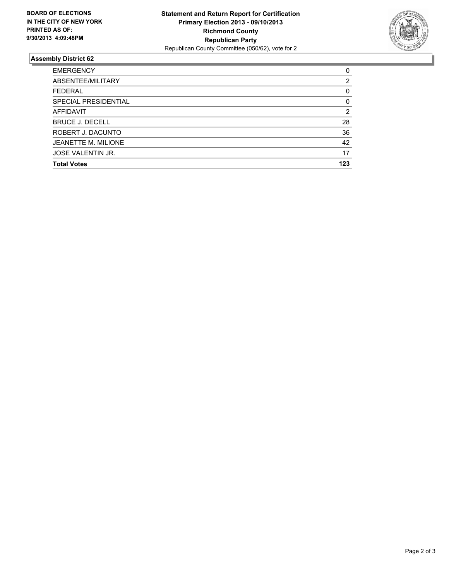

## **Assembly District 62**

| <b>EMERGENCY</b>           | 0   |
|----------------------------|-----|
| ABSENTEE/MILITARY          | 2   |
| <b>FEDERAL</b>             | 0   |
| SPECIAL PRESIDENTIAL       | 0   |
| <b>AFFIDAVIT</b>           | 2   |
| <b>BRUCE J. DECELL</b>     | 28  |
| ROBERT J. DACUNTO          | 36  |
| <b>JEANETTE M. MILIONE</b> | 42  |
| JOSE VALENTIN JR.          | 17  |
| <b>Total Votes</b>         | 123 |